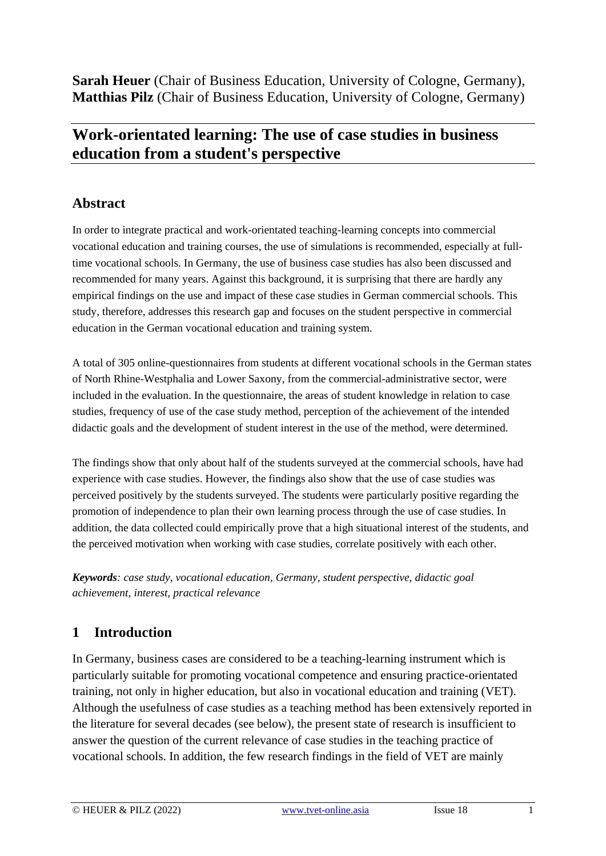**Sarah Heuer** (Chair of Business Education, University of Cologne, Germany), **Matthias Pilz** (Chair of Business Education, University of Cologne, Germany)

# **Work-orientated learning: The use of case studies in business education from a student's perspective**

## **Abstract**

In order to integrate practical and work-orientated teaching-learning concepts into commercial vocational education and training courses, the use of simulations is recommended, especially at fulltime vocational schools. In Germany, the use of business case studies has also been discussed and recommended for many years. Against this background, it is surprising that there are hardly any empirical findings on the use and impact of these case studies in German commercial schools. This study, therefore, addresses this research gap and focuses on the student perspective in commercial education in the German vocational education and training system.

A total of 305 online-questionnaires from students at different vocational schools in the German states of North Rhine-Westphalia and Lower Saxony, from the commercial-administrative sector, were included in the evaluation. In the questionnaire, the areas of student knowledge in relation to case studies, frequency of use of the case study method, perception of the achievement of the intended didactic goals and the development of student interest in the use of the method, were determined.

The findings show that only about half of the students surveyed at the commercial schools, have had experience with case studies. However, the findings also show that the use of case studies was perceived positively by the students surveyed. The students were particularly positive regarding the promotion of independence to plan their own learning process through the use of case studies. In addition, the data collected could empirically prove that a high situational interest of the students, and the perceived motivation when working with case studies, correlate positively with each other.

*Keywords: case study, vocational education, Germany, student perspective, didactic goal achievement, interest, practical relevance*

## **1 Introduction**

In Germany, business cases are considered to be a teaching-learning instrument which is particularly suitable for promoting vocational competence and ensuring practice-orientated training, not only in higher education, but also in vocational education and training (VET). Although the usefulness of case studies as a teaching method has been extensively reported in the literature for several decades (see below), the present state of research is insufficient to answer the question of the current relevance of case studies in the teaching practice of vocational schools. In addition, the few research findings in the field of VET are mainly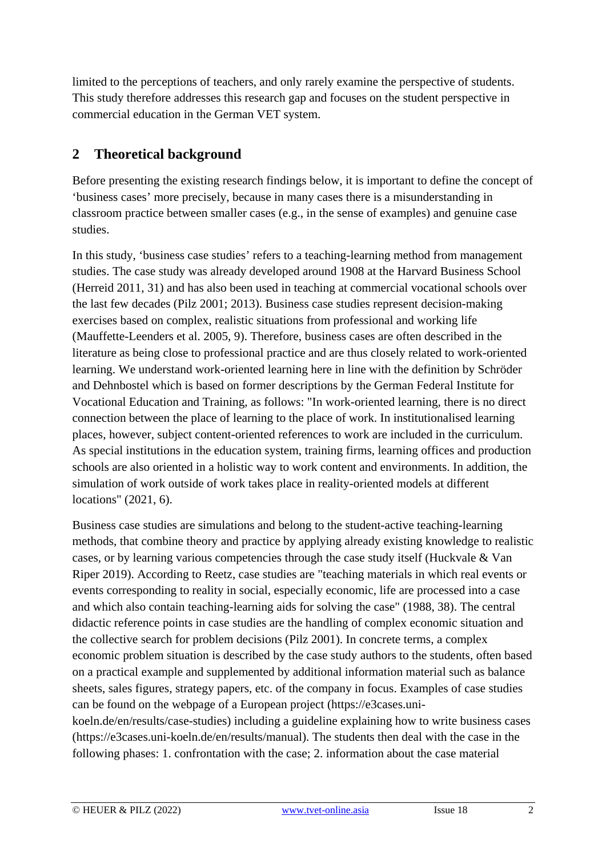limited to the perceptions of teachers, and only rarely examine the perspective of students. This study therefore addresses this research gap and focuses on the student perspective in commercial education in the German VET system.

## **2 Theoretical background**

Before presenting the existing research findings below, it is important to define the concept of 'business cases' more precisely, because in many cases there is a misunderstanding in classroom practice between smaller cases (e.g., in the sense of examples) and genuine case studies.

In this study, 'business case studies' refers to a teaching-learning method from management studies. The case study was already developed around 1908 at the Harvard Business School (Herreid 2011, 31) and has also been used in teaching at commercial vocational schools over the last few decades (Pilz 2001; 2013). Business case studies represent decision-making exercises based on complex, realistic situations from professional and working life (Mauffette-Leenders et al. 2005, 9). Therefore, business cases are often described in the literature as being close to professional practice and are thus closely related to work-oriented learning. We understand work-oriented learning here in line with the definition by Schröder and Dehnbostel which is based on former descriptions by the German Federal Institute for Vocational Education and Training, as follows: "In work-oriented learning, there is no direct connection between the place of learning to the place of work. In institutionalised learning places, however, subject content-oriented references to work are included in the curriculum. As special institutions in the education system, training firms, learning offices and production schools are also oriented in a holistic way to work content and environments. In addition, the simulation of work outside of work takes place in reality-oriented models at different locations" (2021, 6).

Business case studies are simulations and belong to the student-active teaching-learning methods, that combine theory and practice by applying already existing knowledge to realistic cases, or by learning various competencies through the case study itself (Huckvale & Van Riper 2019). According to Reetz, case studies are "teaching materials in which real events or events corresponding to reality in social, especially economic, life are processed into a case and which also contain teaching-learning aids for solving the case" (1988, 38). The central didactic reference points in case studies are the handling of complex economic situation and the collective search for problem decisions (Pilz 2001). In concrete terms, a complex economic problem situation is described by the case study authors to the students, often based on a practical example and supplemented by additional information material such as balance sheets, sales figures, strategy papers, etc. of the company in focus. Examples of case studies can be found on the webpage of a European project (https://e3cases.unikoeln.de/en/results/case-studies) including a guideline explaining how to write business cases (https://e3cases.uni-koeln.de/en/results/manual). The students then deal with the case in the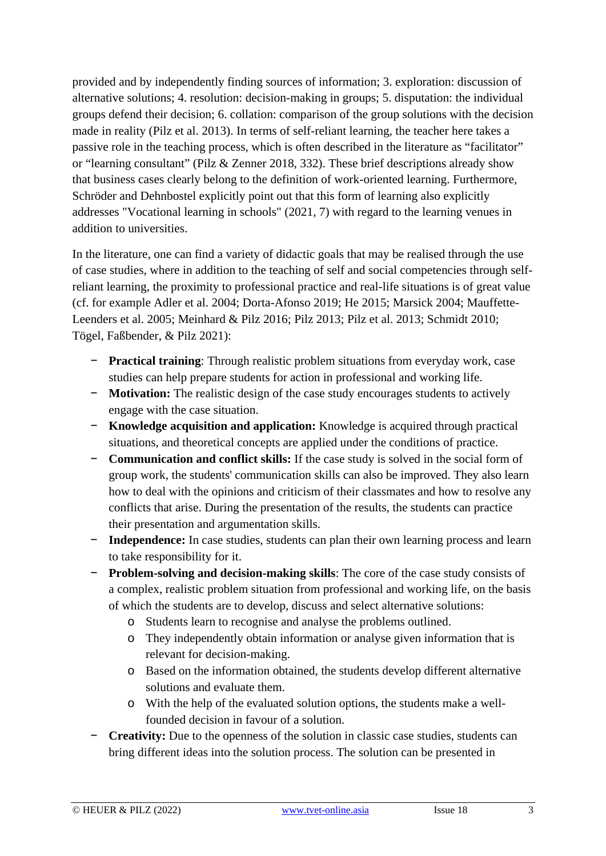provided and by independently finding sources of information; 3. exploration: discussion of alternative solutions; 4. resolution: decision-making in groups; 5. disputation: the individual groups defend their decision; 6. collation: comparison of the group solutions with the decision made in reality (Pilz et al. 2013). In terms of self-reliant learning, the teacher here takes a passive role in the teaching process, which is often described in the literature as "facilitator" or "learning consultant" (Pilz & Zenner 2018, 332). These brief descriptions already show that business cases clearly belong to the definition of work-oriented learning. Furthermore, Schröder and Dehnbostel explicitly point out that this form of learning also explicitly addresses "Vocational learning in schools" (2021, 7) with regard to the learning venues in addition to universities.

In the literature, one can find a variety of didactic goals that may be realised through the use of case studies, where in addition to the teaching of self and social competencies through selfreliant learning, the proximity to professional practice and real-life situations is of great value (cf. for example Adler et al. 2004; Dorta-Afonso 2019; He 2015; Marsick 2004; Mauffette-Leenders et al. 2005; Meinhard & Pilz 2016; Pilz 2013; Pilz et al. 2013; Schmidt 2010; Tögel, Faßbender, & Pilz 2021):

- − **Practical training**: Through realistic problem situations from everyday work, case studies can help prepare students for action in professional and working life.
- − **Motivation:** The realistic design of the case study encourages students to actively engage with the case situation.
- − **Knowledge acquisition and application:** Knowledge is acquired through practical situations, and theoretical concepts are applied under the conditions of practice.
- − **Communication and conflict skills:** If the case study is solved in the social form of group work, the students' communication skills can also be improved. They also learn how to deal with the opinions and criticism of their classmates and how to resolve any conflicts that arise. During the presentation of the results, the students can practice their presentation and argumentation skills.
- − **Independence:** In case studies, students can plan their own learning process and learn to take responsibility for it.
- − **Problem-solving and decision-making skills**: The core of the case study consists of a complex, realistic problem situation from professional and working life, on the basis of which the students are to develop, discuss and select alternative solutions:
	- o Students learn to recognise and analyse the problems outlined.
	- o They independently obtain information or analyse given information that is relevant for decision-making.
	- o Based on the information obtained, the students develop different alternative solutions and evaluate them.
	- o With the help of the evaluated solution options, the students make a wellfounded decision in favour of a solution.
- − **Creativity:** Due to the openness of the solution in classic case studies, students can bring different ideas into the solution process. The solution can be presented in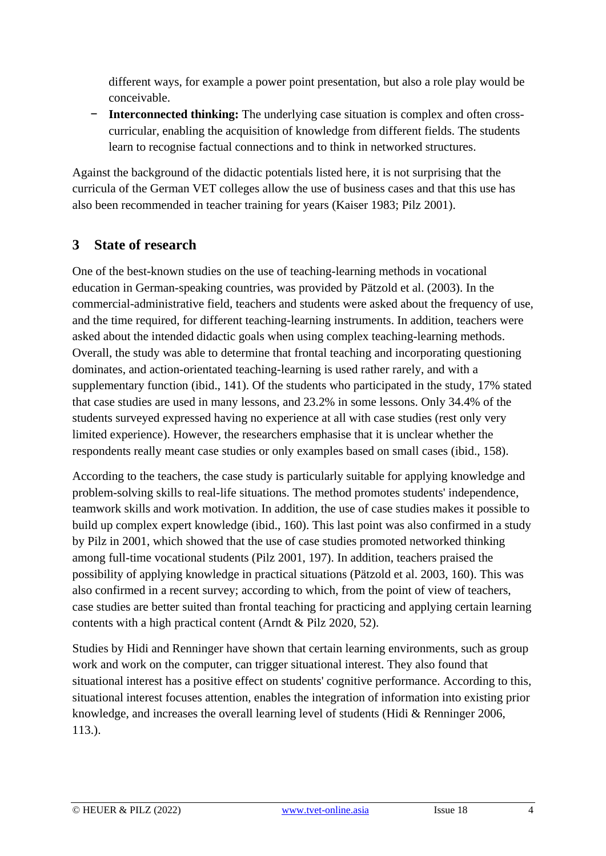different ways, for example a power point presentation, but also a role play would be conceivable.

**Interconnected thinking:** The underlying case situation is complex and often crosscurricular, enabling the acquisition of knowledge from different fields. The students learn to recognise factual connections and to think in networked structures.

Against the background of the didactic potentials listed here, it is not surprising that the curricula of the German VET colleges allow the use of business cases and that this use has also been recommended in teacher training for years (Kaiser 1983; Pilz 2001).

## **3 State of research**

One of the best-known studies on the use of teaching-learning methods in vocational education in German-speaking countries, was provided by Pätzold et al. (2003). In the commercial-administrative field, teachers and students were asked about the frequency of use, and the time required, for different teaching-learning instruments. In addition, teachers were asked about the intended didactic goals when using complex teaching-learning methods. Overall, the study was able to determine that frontal teaching and incorporating questioning dominates, and action-orientated teaching-learning is used rather rarely, and with a supplementary function (ibid., 141). Of the students who participated in the study, 17% stated that case studies are used in many lessons, and 23.2% in some lessons. Only 34.4% of the students surveyed expressed having no experience at all with case studies (rest only very limited experience). However, the researchers emphasise that it is unclear whether the respondents really meant case studies or only examples based on small cases (ibid., 158).

According to the teachers, the case study is particularly suitable for applying knowledge and problem-solving skills to real-life situations. The method promotes students' independence, teamwork skills and work motivation. In addition, the use of case studies makes it possible to build up complex expert knowledge (ibid., 160). This last point was also confirmed in a study by Pilz in 2001, which showed that the use of case studies promoted networked thinking among full-time vocational students (Pilz 2001, 197). In addition, teachers praised the possibility of applying knowledge in practical situations (Pätzold et al. 2003, 160). This was also confirmed in a recent survey; according to which, from the point of view of teachers, case studies are better suited than frontal teaching for practicing and applying certain learning contents with a high practical content (Arndt & Pilz 2020, 52).

Studies by Hidi and Renninger have shown that certain learning environments, such as group work and work on the computer, can trigger situational interest. They also found that situational interest has a positive effect on students' cognitive performance. According to this, situational interest focuses attention, enables the integration of information into existing prior knowledge, and increases the overall learning level of students (Hidi & Renninger 2006, 113.).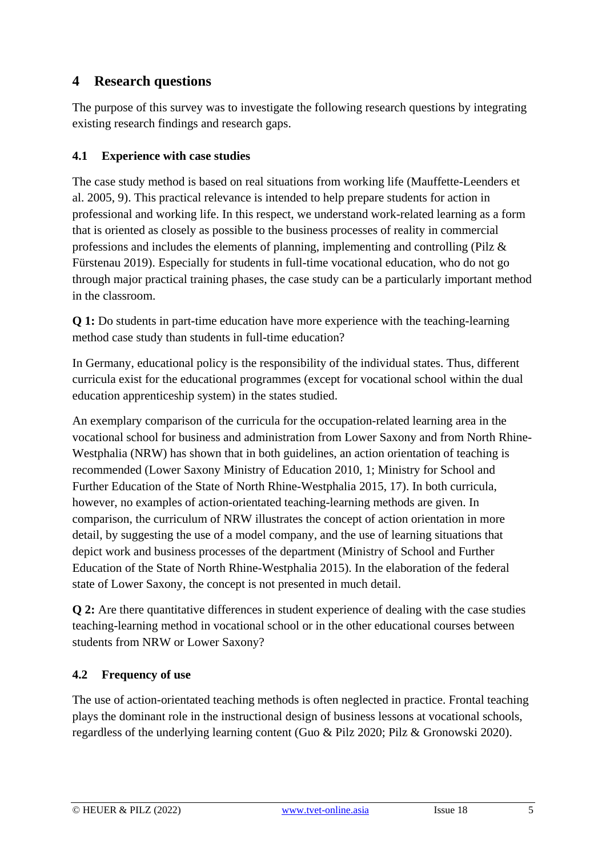## **4 Research questions**

The purpose of this survey was to investigate the following research questions by integrating existing research findings and research gaps.

### **4.1 Experience with case studies**

The case study method is based on real situations from working life (Mauffette-Leenders et al. 2005, 9). This practical relevance is intended to help prepare students for action in professional and working life. In this respect, we understand work-related learning as a form that is oriented as closely as possible to the business processes of reality in commercial professions and includes the elements of planning, implementing and controlling (Pilz & Fürstenau 2019). Especially for students in full-time vocational education, who do not go through major practical training phases, the case study can be a particularly important method in the classroom.

**Q 1:** Do students in part-time education have more experience with the teaching-learning method case study than students in full-time education?

In Germany, educational policy is the responsibility of the individual states. Thus, different curricula exist for the educational programmes (except for vocational school within the dual education apprenticeship system) in the states studied.

An exemplary comparison of the curricula for the occupation-related learning area in the vocational school for business and administration from Lower Saxony and from North Rhine-Westphalia (NRW) has shown that in both guidelines, an action orientation of teaching is recommended (Lower Saxony Ministry of Education 2010, 1; Ministry for School and Further Education of the State of North Rhine-Westphalia 2015, 17). In both curricula, however, no examples of action-orientated teaching-learning methods are given. In comparison, the curriculum of NRW illustrates the concept of action orientation in more detail, by suggesting the use of a model company, and the use of learning situations that depict work and business processes of the department (Ministry of School and Further Education of the State of North Rhine-Westphalia 2015). In the elaboration of the federal state of Lower Saxony, the concept is not presented in much detail.

**Q 2:** Are there quantitative differences in student experience of dealing with the case studies teaching-learning method in vocational school or in the other educational courses between students from NRW or Lower Saxony?

### **4.2 Frequency of use**

The use of action-orientated teaching methods is often neglected in practice. Frontal teaching plays the dominant role in the instructional design of business lessons at vocational schools, regardless of the underlying learning content (Guo & Pilz 2020; Pilz & Gronowski 2020).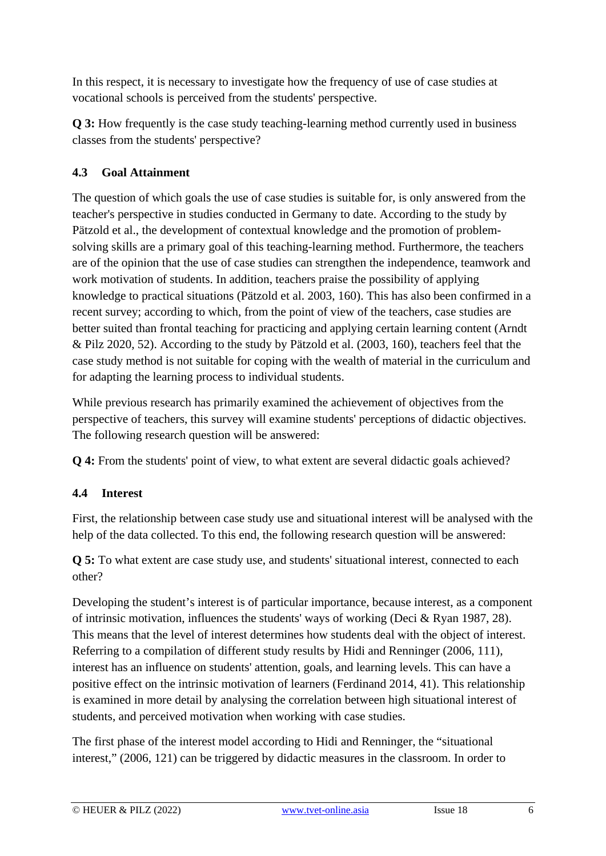In this respect, it is necessary to investigate how the frequency of use of case studies at vocational schools is perceived from the students' perspective.

**Q 3:** How frequently is the case study teaching-learning method currently used in business classes from the students' perspective?

### **4.3 Goal Attainment**

The question of which goals the use of case studies is suitable for, is only answered from the teacher's perspective in studies conducted in Germany to date. According to the study by Pätzold et al., the development of contextual knowledge and the promotion of problemsolving skills are a primary goal of this teaching-learning method. Furthermore, the teachers are of the opinion that the use of case studies can strengthen the independence, teamwork and work motivation of students. In addition, teachers praise the possibility of applying knowledge to practical situations (Pätzold et al. 2003, 160). This has also been confirmed in a recent survey; according to which, from the point of view of the teachers, case studies are better suited than frontal teaching for practicing and applying certain learning content (Arndt & Pilz 2020, 52). According to the study by Pätzold et al. (2003, 160), teachers feel that the case study method is not suitable for coping with the wealth of material in the curriculum and for adapting the learning process to individual students.

While previous research has primarily examined the achievement of objectives from the perspective of teachers, this survey will examine students' perceptions of didactic objectives. The following research question will be answered:

**Q 4:** From the students' point of view, to what extent are several didactic goals achieved?

### **4.4 Interest**

First, the relationship between case study use and situational interest will be analysed with the help of the data collected. To this end, the following research question will be answered:

**Q 5:** To what extent are case study use, and students' situational interest, connected to each other?

Developing the student's interest is of particular importance, because interest, as a component of intrinsic motivation, influences the students' ways of working (Deci & Ryan 1987, 28). This means that the level of interest determines how students deal with the object of interest. Referring to a compilation of different study results by Hidi and Renninger (2006, 111), interest has an influence on students' attention, goals, and learning levels. This can have a positive effect on the intrinsic motivation of learners (Ferdinand 2014, 41). This relationship is examined in more detail by analysing the correlation between high situational interest of students, and perceived motivation when working with case studies.

The first phase of the interest model according to Hidi and Renninger, the "situational interest," (2006, 121) can be triggered by didactic measures in the classroom. In order to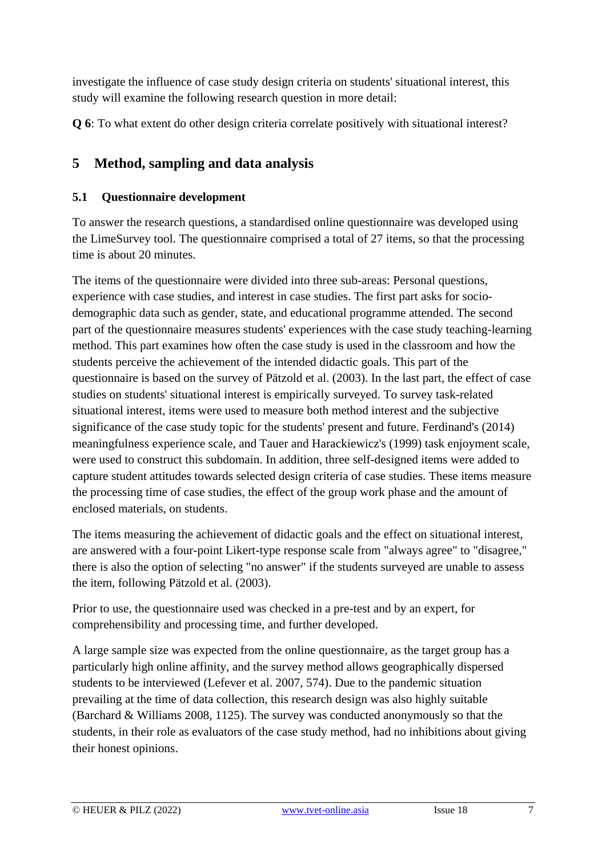investigate the influence of case study design criteria on students' situational interest, this study will examine the following research question in more detail:

**Q 6**: To what extent do other design criteria correlate positively with situational interest?

## **5 Method, sampling and data analysis**

#### **5.1 Questionnaire development**

To answer the research questions, a standardised online questionnaire was developed using the LimeSurvey tool. The questionnaire comprised a total of 27 items, so that the processing time is about 20 minutes.

The items of the questionnaire were divided into three sub-areas: Personal questions, experience with case studies, and interest in case studies. The first part asks for sociodemographic data such as gender, state, and educational programme attended. The second part of the questionnaire measures students' experiences with the case study teaching-learning method. This part examines how often the case study is used in the classroom and how the students perceive the achievement of the intended didactic goals. This part of the questionnaire is based on the survey of Pätzold et al. (2003). In the last part, the effect of case studies on students' situational interest is empirically surveyed. To survey task-related situational interest, items were used to measure both method interest and the subjective significance of the case study topic for the students' present and future. Ferdinand's (2014) meaningfulness experience scale, and Tauer and Harackiewicz's (1999) task enjoyment scale, were used to construct this subdomain. In addition, three self-designed items were added to capture student attitudes towards selected design criteria of case studies. These items measure the processing time of case studies, the effect of the group work phase and the amount of enclosed materials, on students.

The items measuring the achievement of didactic goals and the effect on situational interest, are answered with a four-point Likert-type response scale from "always agree" to "disagree," there is also the option of selecting "no answer" if the students surveyed are unable to assess the item, following Pätzold et al. (2003).

Prior to use, the questionnaire used was checked in a pre-test and by an expert, for comprehensibility and processing time, and further developed.

A large sample size was expected from the online questionnaire, as the target group has a particularly high online affinity, and the survey method allows geographically dispersed students to be interviewed (Lefever et al. 2007, 574). Due to the pandemic situation prevailing at the time of data collection, this research design was also highly suitable (Barchard & Williams 2008, 1125). The survey was conducted anonymously so that the students, in their role as evaluators of the case study method, had no inhibitions about giving their honest opinions.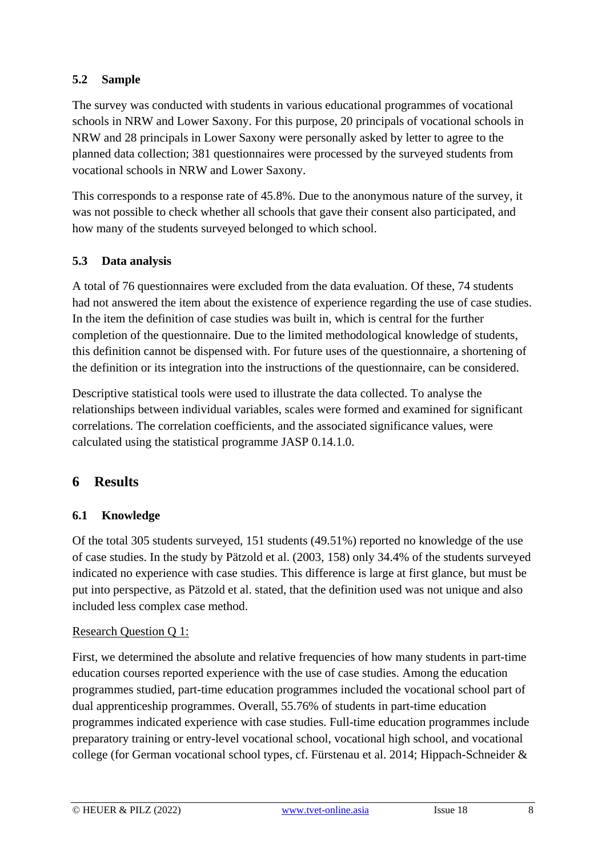#### **5.2 Sample**

The survey was conducted with students in various educational programmes of vocational schools in NRW and Lower Saxony. For this purpose, 20 principals of vocational schools in NRW and 28 principals in Lower Saxony were personally asked by letter to agree to the planned data collection; 381 questionnaires were processed by the surveyed students from vocational schools in NRW and Lower Saxony.

This corresponds to a response rate of 45.8%. Due to the anonymous nature of the survey, it was not possible to check whether all schools that gave their consent also participated, and how many of the students surveyed belonged to which school.

#### **5.3 Data analysis**

A total of 76 questionnaires were excluded from the data evaluation. Of these, 74 students had not answered the item about the existence of experience regarding the use of case studies. In the item the definition of case studies was built in, which is central for the further completion of the questionnaire. Due to the limited methodological knowledge of students, this definition cannot be dispensed with. For future uses of the questionnaire, a shortening of the definition or its integration into the instructions of the questionnaire, can be considered.

Descriptive statistical tools were used to illustrate the data collected. To analyse the relationships between individual variables, scales were formed and examined for significant correlations. The correlation coefficients, and the associated significance values, were calculated using the statistical programme JASP 0.14.1.0.

### **6 Results**

#### **6.1 Knowledge**

Of the total 305 students surveyed, 151 students (49.51%) reported no knowledge of the use of case studies. In the study by Pätzold et al. (2003, 158) only 34.4% of the students surveyed indicated no experience with case studies. This difference is large at first glance, but must be put into perspective, as Pätzold et al. stated, that the definition used was not unique and also included less complex case method.

#### Research Question Q 1:

First, we determined the absolute and relative frequencies of how many students in part-time education courses reported experience with the use of case studies. Among the education programmes studied, part-time education programmes included the vocational school part of dual apprenticeship programmes. Overall, 55.76% of students in part-time education programmes indicated experience with case studies. Full-time education programmes include preparatory training or entry-level vocational school, vocational high school, and vocational college (for German vocational school types, cf. Fürstenau et al. 2014; Hippach-Schneider &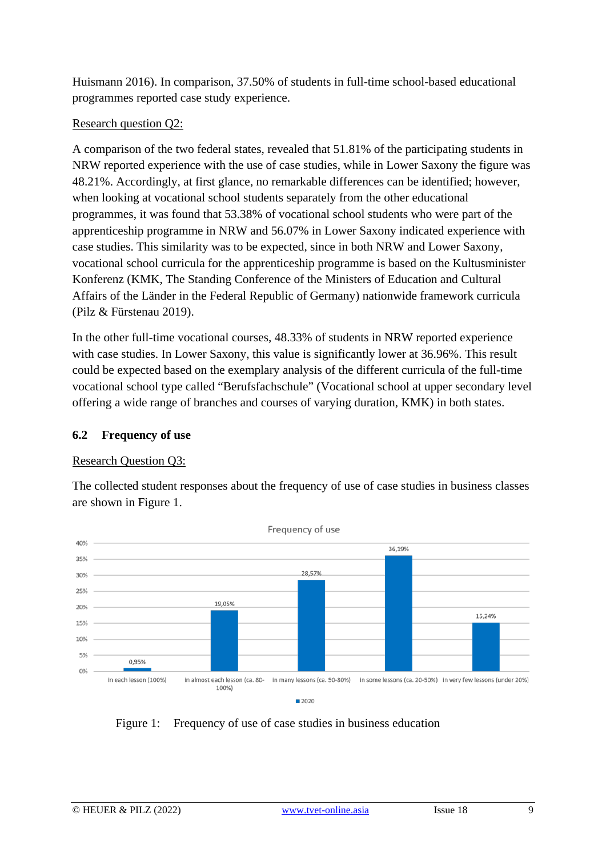Huismann 2016). In comparison, 37.50% of students in full-time school-based educational programmes reported case study experience.

#### Research question Q2:

A comparison of the two federal states, revealed that 51.81% of the participating students in NRW reported experience with the use of case studies, while in Lower Saxony the figure was 48.21%. Accordingly, at first glance, no remarkable differences can be identified; however, when looking at vocational school students separately from the other educational programmes, it was found that 53.38% of vocational school students who were part of the apprenticeship programme in NRW and 56.07% in Lower Saxony indicated experience with case studies. This similarity was to be expected, since in both NRW and Lower Saxony, vocational school curricula for the apprenticeship programme is based on the Kultusminister Konferenz (KMK, The Standing Conference of the Ministers of Education and Cultural Affairs of the Länder in the Federal Republic of Germany) nationwide framework curricula (Pilz & Fürstenau 2019).

In the other full-time vocational courses, 48.33% of students in NRW reported experience with case studies. In Lower Saxony, this value is significantly lower at 36.96%. This result could be expected based on the exemplary analysis of the different curricula of the full-time vocational school type called "Berufsfachschule" (Vocational school at upper secondary level offering a wide range of branches and courses of varying duration, KMK) in both states.

#### **6.2 Frequency of use**

#### Research Question Q3:

The collected student responses about the frequency of use of case studies in business classes are shown in Figure 1.



Figure 1: Frequency of use of case studies in business education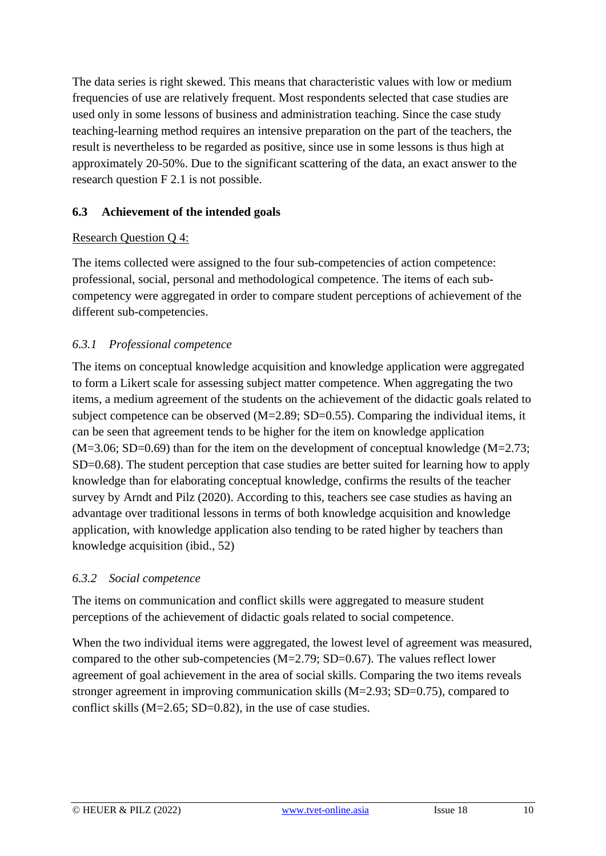The data series is right skewed. This means that characteristic values with low or medium frequencies of use are relatively frequent. Most respondents selected that case studies are used only in some lessons of business and administration teaching. Since the case study teaching-learning method requires an intensive preparation on the part of the teachers, the result is nevertheless to be regarded as positive, since use in some lessons is thus high at approximately 20-50%. Due to the significant scattering of the data, an exact answer to the research question F 2.1 is not possible.

#### **6.3 Achievement of the intended goals**

#### Research Question Q 4:

The items collected were assigned to the four sub-competencies of action competence: professional, social, personal and methodological competence. The items of each subcompetency were aggregated in order to compare student perceptions of achievement of the different sub-competencies.

#### *6.3.1 Professional competence*

The items on conceptual knowledge acquisition and knowledge application were aggregated to form a Likert scale for assessing subject matter competence. When aggregating the two items, a medium agreement of the students on the achievement of the didactic goals related to subject competence can be observed  $(M=2.89; SD=0.55)$ . Comparing the individual items, it can be seen that agreement tends to be higher for the item on knowledge application  $(M=3.06; SD=0.69)$  than for the item on the development of conceptual knowledge  $(M=2.73;$ SD=0.68). The student perception that case studies are better suited for learning how to apply knowledge than for elaborating conceptual knowledge, confirms the results of the teacher survey by Arndt and Pilz (2020). According to this, teachers see case studies as having an advantage over traditional lessons in terms of both knowledge acquisition and knowledge application, with knowledge application also tending to be rated higher by teachers than knowledge acquisition (ibid., 52)

#### *6.3.2 Social competence*

The items on communication and conflict skills were aggregated to measure student perceptions of the achievement of didactic goals related to social competence.

When the two individual items were aggregated, the lowest level of agreement was measured, compared to the other sub-competencies  $(M=2.79; SD=0.67)$ . The values reflect lower agreement of goal achievement in the area of social skills. Comparing the two items reveals stronger agreement in improving communication skills (M=2.93; SD=0.75), compared to conflict skills (M=2.65; SD=0.82), in the use of case studies.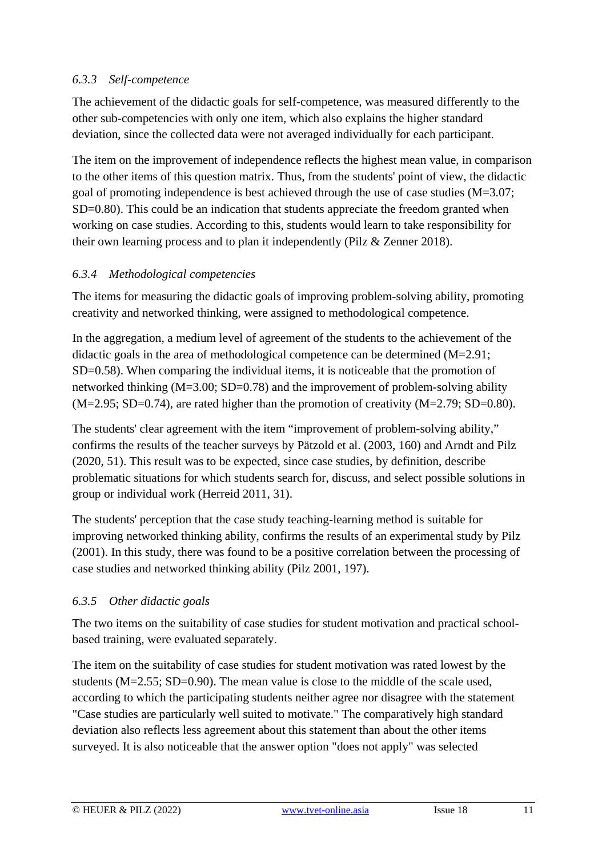#### *6.3.3 Self-competence*

The achievement of the didactic goals for self-competence, was measured differently to the other sub-competencies with only one item, which also explains the higher standard deviation, since the collected data were not averaged individually for each participant.

The item on the improvement of independence reflects the highest mean value, in comparison to the other items of this question matrix. Thus, from the students' point of view, the didactic goal of promoting independence is best achieved through the use of case studies (M=3.07; SD=0.80). This could be an indication that students appreciate the freedom granted when working on case studies. According to this, students would learn to take responsibility for their own learning process and to plan it independently (Pilz & Zenner 2018).

### *6.3.4 Methodological competencies*

The items for measuring the didactic goals of improving problem-solving ability, promoting creativity and networked thinking, were assigned to methodological competence.

In the aggregation, a medium level of agreement of the students to the achievement of the didactic goals in the area of methodological competence can be determined (M=2.91; SD=0.58). When comparing the individual items, it is noticeable that the promotion of networked thinking (M=3.00; SD=0.78) and the improvement of problem-solving ability  $(M=2.95; SD=0.74)$ , are rated higher than the promotion of creativity  $(M=2.79; SD=0.80)$ .

The students' clear agreement with the item "improvement of problem-solving ability," confirms the results of the teacher surveys by Pätzold et al. (2003, 160) and Arndt and Pilz (2020, 51). This result was to be expected, since case studies, by definition, describe problematic situations for which students search for, discuss, and select possible solutions in group or individual work (Herreid 2011, 31).

The students' perception that the case study teaching-learning method is suitable for improving networked thinking ability, confirms the results of an experimental study by Pilz (2001). In this study, there was found to be a positive correlation between the processing of case studies and networked thinking ability (Pilz 2001, 197).

#### *6.3.5 Other didactic goals*

The two items on the suitability of case studies for student motivation and practical schoolbased training, were evaluated separately.

The item on the suitability of case studies for student motivation was rated lowest by the students  $(M=2.55; SD=0.90)$ . The mean value is close to the middle of the scale used. according to which the participating students neither agree nor disagree with the statement "Case studies are particularly well suited to motivate." The comparatively high standard deviation also reflects less agreement about this statement than about the other items surveyed. It is also noticeable that the answer option "does not apply" was selected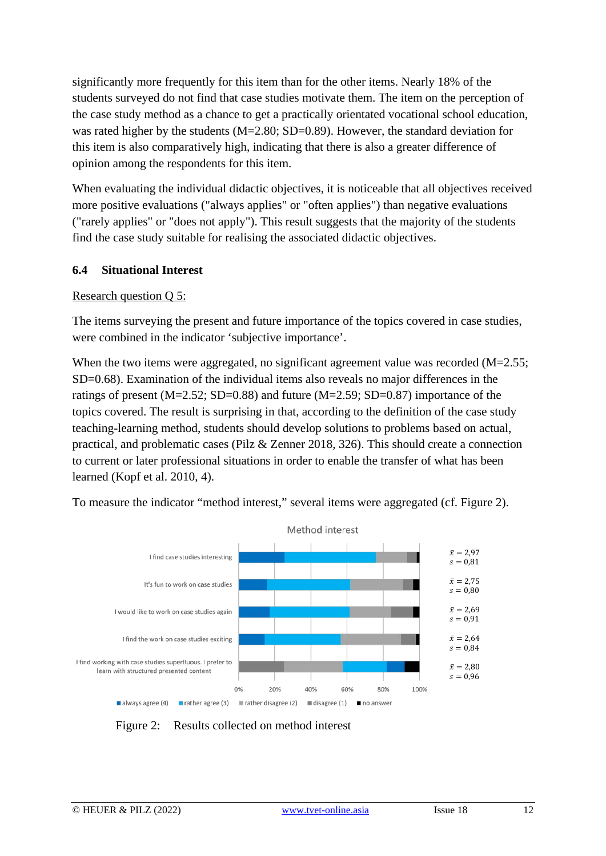significantly more frequently for this item than for the other items. Nearly 18% of the students surveyed do not find that case studies motivate them. The item on the perception of the case study method as a chance to get a practically orientated vocational school education, was rated higher by the students (M=2.80; SD=0.89). However, the standard deviation for this item is also comparatively high, indicating that there is also a greater difference of opinion among the respondents for this item.

When evaluating the individual didactic objectives, it is noticeable that all objectives received more positive evaluations ("always applies" or "often applies") than negative evaluations ("rarely applies" or "does not apply"). This result suggests that the majority of the students find the case study suitable for realising the associated didactic objectives.

#### **6.4 Situational Interest**

#### Research question Q 5:

The items surveying the present and future importance of the topics covered in case studies, were combined in the indicator 'subjective importance'.

When the two items were aggregated, no significant agreement value was recorded (M=2.55; SD=0.68). Examination of the individual items also reveals no major differences in the ratings of present  $(M=2.52; SD=0.88)$  and future  $(M=2.59; SD=0.87)$  importance of the topics covered. The result is surprising in that, according to the definition of the case study teaching-learning method, students should develop solutions to problems based on actual, practical, and problematic cases (Pilz & Zenner 2018, 326). This should create a connection to current or later professional situations in order to enable the transfer of what has been learned (Kopf et al. 2010, 4).

To measure the indicator "method interest," several items were aggregated (cf. Figure 2).



Figure 2: Results collected on method interest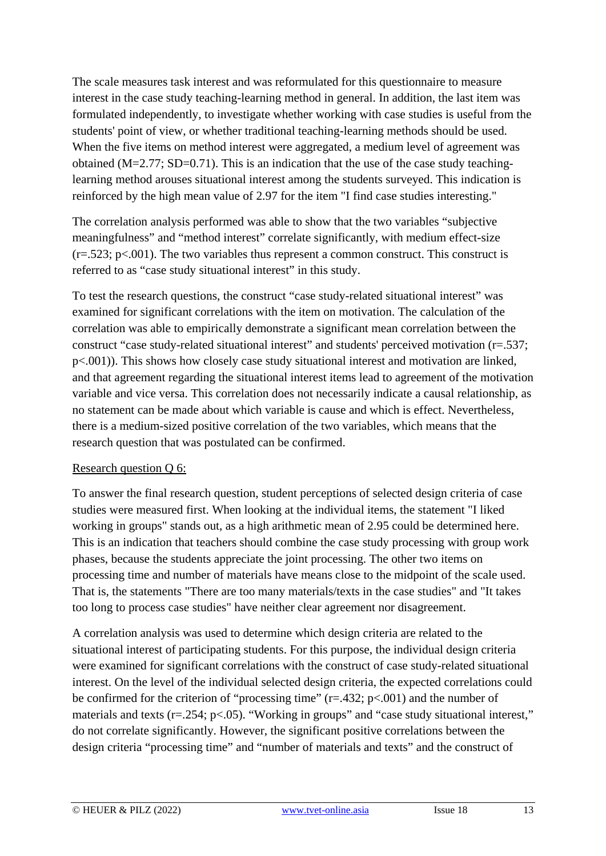The scale measures task interest and was reformulated for this questionnaire to measure interest in the case study teaching-learning method in general. In addition, the last item was formulated independently, to investigate whether working with case studies is useful from the students' point of view, or whether traditional teaching-learning methods should be used. When the five items on method interest were aggregated, a medium level of agreement was obtained (M=2.77; SD=0.71). This is an indication that the use of the case study teachinglearning method arouses situational interest among the students surveyed. This indication is reinforced by the high mean value of 2.97 for the item "I find case studies interesting."

The correlation analysis performed was able to show that the two variables "subjective meaningfulness" and "method interest" correlate significantly, with medium effect-size  $(r=.523; p<.001)$ . The two variables thus represent a common construct. This construct is referred to as "case study situational interest" in this study.

To test the research questions, the construct "case study-related situational interest" was examined for significant correlations with the item on motivation. The calculation of the correlation was able to empirically demonstrate a significant mean correlation between the construct "case study-related situational interest" and students' perceived motivation (r=.537; p<.001)). This shows how closely case study situational interest and motivation are linked, and that agreement regarding the situational interest items lead to agreement of the motivation variable and vice versa. This correlation does not necessarily indicate a causal relationship, as no statement can be made about which variable is cause and which is effect. Nevertheless, there is a medium-sized positive correlation of the two variables, which means that the research question that was postulated can be confirmed.

#### Research question Q 6:

To answer the final research question, student perceptions of selected design criteria of case studies were measured first. When looking at the individual items, the statement "I liked working in groups" stands out, as a high arithmetic mean of 2.95 could be determined here. This is an indication that teachers should combine the case study processing with group work phases, because the students appreciate the joint processing. The other two items on processing time and number of materials have means close to the midpoint of the scale used. That is, the statements "There are too many materials/texts in the case studies" and "It takes too long to process case studies" have neither clear agreement nor disagreement.

A correlation analysis was used to determine which design criteria are related to the situational interest of participating students. For this purpose, the individual design criteria were examined for significant correlations with the construct of case study-related situational interest. On the level of the individual selected design criteria, the expected correlations could be confirmed for the criterion of "processing time"  $(r=.432; p<.001)$  and the number of materials and texts (r=.254; p<.05). "Working in groups" and "case study situational interest," do not correlate significantly. However, the significant positive correlations between the design criteria "processing time" and "number of materials and texts" and the construct of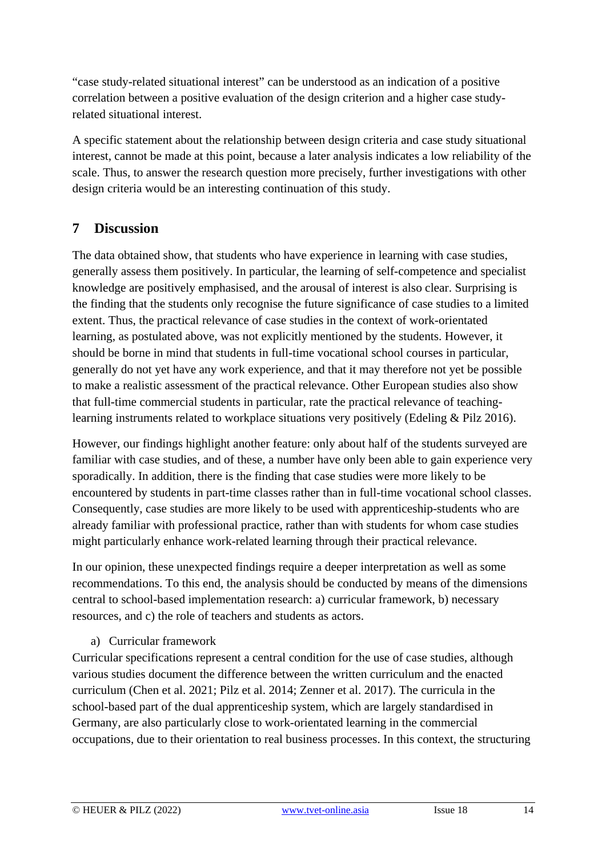"case study-related situational interest" can be understood as an indication of a positive correlation between a positive evaluation of the design criterion and a higher case studyrelated situational interest.

A specific statement about the relationship between design criteria and case study situational interest, cannot be made at this point, because a later analysis indicates a low reliability of the scale. Thus, to answer the research question more precisely, further investigations with other design criteria would be an interesting continuation of this study.

### **7 Discussion**

The data obtained show, that students who have experience in learning with case studies, generally assess them positively. In particular, the learning of self-competence and specialist knowledge are positively emphasised, and the arousal of interest is also clear. Surprising is the finding that the students only recognise the future significance of case studies to a limited extent. Thus, the practical relevance of case studies in the context of work-orientated learning, as postulated above, was not explicitly mentioned by the students. However, it should be borne in mind that students in full-time vocational school courses in particular, generally do not yet have any work experience, and that it may therefore not yet be possible to make a realistic assessment of the practical relevance. Other European studies also show that full-time commercial students in particular, rate the practical relevance of teachinglearning instruments related to workplace situations very positively (Edeling & Pilz 2016).

However, our findings highlight another feature: only about half of the students surveyed are familiar with case studies, and of these, a number have only been able to gain experience very sporadically. In addition, there is the finding that case studies were more likely to be encountered by students in part-time classes rather than in full-time vocational school classes. Consequently, case studies are more likely to be used with apprenticeship-students who are already familiar with professional practice, rather than with students for whom case studies might particularly enhance work-related learning through their practical relevance.

In our opinion, these unexpected findings require a deeper interpretation as well as some recommendations. To this end, the analysis should be conducted by means of the dimensions central to school-based implementation research: a) curricular framework, b) necessary resources, and c) the role of teachers and students as actors.

#### a) Curricular framework

Curricular specifications represent a central condition for the use of case studies, although various studies document the difference between the written curriculum and the enacted curriculum (Chen et al. 2021; Pilz et al. 2014; Zenner et al. 2017). The curricula in the school-based part of the dual apprenticeship system, which are largely standardised in Germany, are also particularly close to work-orientated learning in the commercial occupations, due to their orientation to real business processes. In this context, the structuring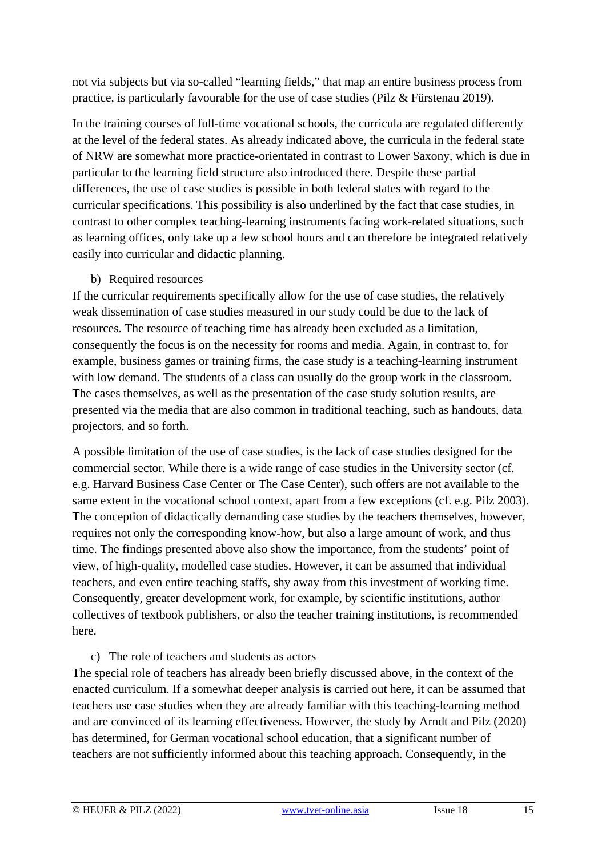not via subjects but via so-called "learning fields," that map an entire business process from practice, is particularly favourable for the use of case studies (Pilz & Fürstenau 2019).

In the training courses of full-time vocational schools, the curricula are regulated differently at the level of the federal states. As already indicated above, the curricula in the federal state of NRW are somewhat more practice-orientated in contrast to Lower Saxony, which is due in particular to the learning field structure also introduced there. Despite these partial differences, the use of case studies is possible in both federal states with regard to the curricular specifications. This possibility is also underlined by the fact that case studies, in contrast to other complex teaching-learning instruments facing work-related situations, such as learning offices, only take up a few school hours and can therefore be integrated relatively easily into curricular and didactic planning.

#### b) Required resources

If the curricular requirements specifically allow for the use of case studies, the relatively weak dissemination of case studies measured in our study could be due to the lack of resources. The resource of teaching time has already been excluded as a limitation, consequently the focus is on the necessity for rooms and media. Again, in contrast to, for example, business games or training firms, the case study is a teaching-learning instrument with low demand. The students of a class can usually do the group work in the classroom. The cases themselves, as well as the presentation of the case study solution results, are presented via the media that are also common in traditional teaching, such as handouts, data projectors, and so forth.

A possible limitation of the use of case studies, is the lack of case studies designed for the commercial sector. While there is a wide range of case studies in the University sector (cf. e.g. Harvard Business Case Center or The Case Center), such offers are not available to the same extent in the vocational school context, apart from a few exceptions (cf. e.g. Pilz 2003). The conception of didactically demanding case studies by the teachers themselves, however, requires not only the corresponding know-how, but also a large amount of work, and thus time. The findings presented above also show the importance, from the students' point of view, of high-quality, modelled case studies. However, it can be assumed that individual teachers, and even entire teaching staffs, shy away from this investment of working time. Consequently, greater development work, for example, by scientific institutions, author collectives of textbook publishers, or also the teacher training institutions, is recommended here.

#### c) The role of teachers and students as actors

The special role of teachers has already been briefly discussed above, in the context of the enacted curriculum. If a somewhat deeper analysis is carried out here, it can be assumed that teachers use case studies when they are already familiar with this teaching-learning method and are convinced of its learning effectiveness. However, the study by Arndt and Pilz (2020) has determined, for German vocational school education, that a significant number of teachers are not sufficiently informed about this teaching approach. Consequently, in the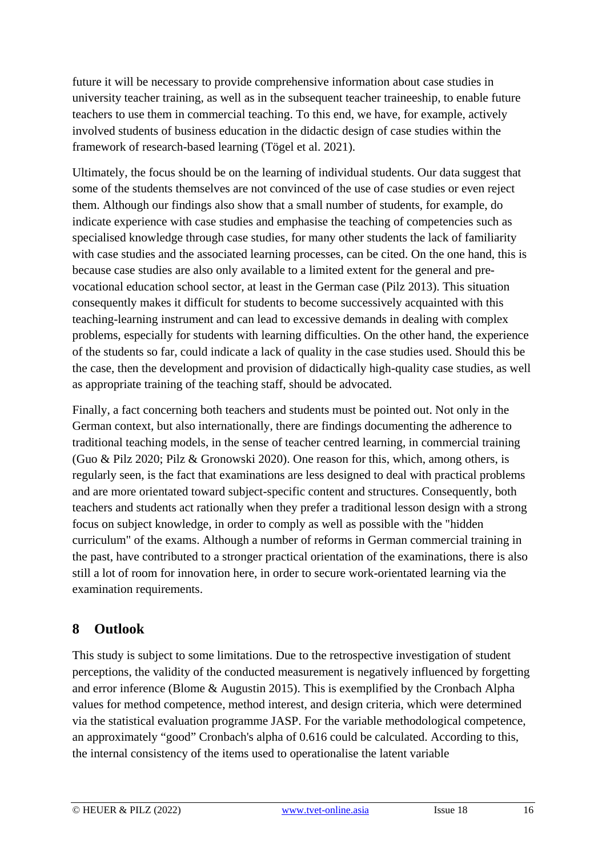future it will be necessary to provide comprehensive information about case studies in university teacher training, as well as in the subsequent teacher traineeship, to enable future teachers to use them in commercial teaching. To this end, we have, for example, actively involved students of business education in the didactic design of case studies within the framework of research-based learning (Tögel et al. 2021).

Ultimately, the focus should be on the learning of individual students. Our data suggest that some of the students themselves are not convinced of the use of case studies or even reject them. Although our findings also show that a small number of students, for example, do indicate experience with case studies and emphasise the teaching of competencies such as specialised knowledge through case studies, for many other students the lack of familiarity with case studies and the associated learning processes, can be cited. On the one hand, this is because case studies are also only available to a limited extent for the general and prevocational education school sector, at least in the German case (Pilz 2013). This situation consequently makes it difficult for students to become successively acquainted with this teaching-learning instrument and can lead to excessive demands in dealing with complex problems, especially for students with learning difficulties. On the other hand, the experience of the students so far, could indicate a lack of quality in the case studies used. Should this be the case, then the development and provision of didactically high-quality case studies, as well as appropriate training of the teaching staff, should be advocated.

Finally, a fact concerning both teachers and students must be pointed out. Not only in the German context, but also internationally, there are findings documenting the adherence to traditional teaching models, in the sense of teacher centred learning, in commercial training (Guo & Pilz 2020; Pilz & Gronowski 2020). One reason for this, which, among others, is regularly seen, is the fact that examinations are less designed to deal with practical problems and are more orientated toward subject-specific content and structures. Consequently, both teachers and students act rationally when they prefer a traditional lesson design with a strong focus on subject knowledge, in order to comply as well as possible with the "hidden curriculum" of the exams. Although a number of reforms in German commercial training in the past, have contributed to a stronger practical orientation of the examinations, there is also still a lot of room for innovation here, in order to secure work-orientated learning via the examination requirements.

## **8 Outlook**

This study is subject to some limitations. Due to the retrospective investigation of student perceptions, the validity of the conducted measurement is negatively influenced by forgetting and error inference (Blome & Augustin 2015). This is exemplified by the Cronbach Alpha values for method competence, method interest, and design criteria, which were determined via the statistical evaluation programme JASP. For the variable methodological competence, an approximately "good" Cronbach's alpha of 0.616 could be calculated. According to this, the internal consistency of the items used to operationalise the latent variable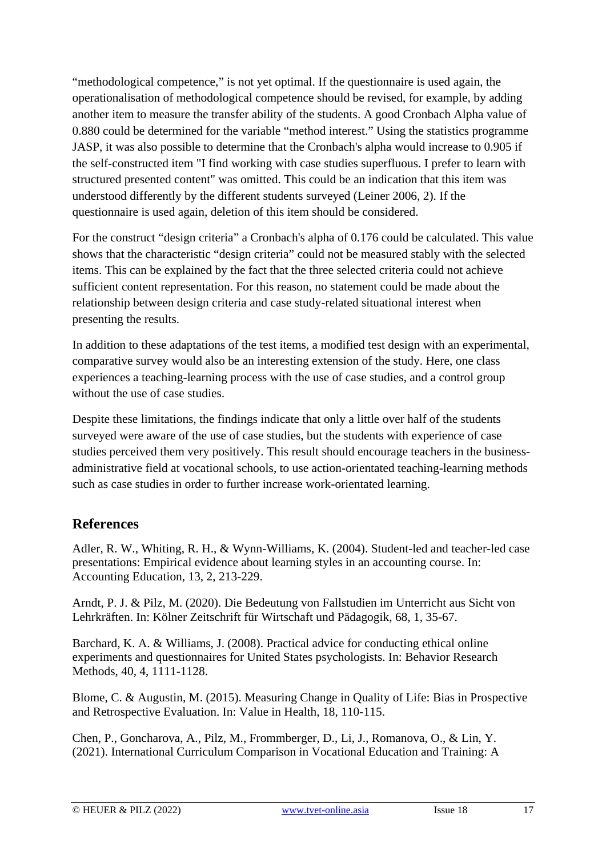"methodological competence," is not yet optimal. If the questionnaire is used again, the operationalisation of methodological competence should be revised, for example, by adding another item to measure the transfer ability of the students. A good Cronbach Alpha value of 0.880 could be determined for the variable "method interest." Using the statistics programme JASP, it was also possible to determine that the Cronbach's alpha would increase to 0.905 if the self-constructed item "I find working with case studies superfluous. I prefer to learn with structured presented content" was omitted. This could be an indication that this item was understood differently by the different students surveyed (Leiner 2006, 2). If the questionnaire is used again, deletion of this item should be considered.

For the construct "design criteria" a Cronbach's alpha of 0.176 could be calculated. This value shows that the characteristic "design criteria" could not be measured stably with the selected items. This can be explained by the fact that the three selected criteria could not achieve sufficient content representation. For this reason, no statement could be made about the relationship between design criteria and case study-related situational interest when presenting the results.

In addition to these adaptations of the test items, a modified test design with an experimental, comparative survey would also be an interesting extension of the study. Here, one class experiences a teaching-learning process with the use of case studies, and a control group without the use of case studies.

Despite these limitations, the findings indicate that only a little over half of the students surveyed were aware of the use of case studies, but the students with experience of case studies perceived them very positively. This result should encourage teachers in the businessadministrative field at vocational schools, to use action-orientated teaching-learning methods such as case studies in order to further increase work-orientated learning.

## **References**

Adler, R. W., Whiting, R. H., & Wynn-Williams, K. (2004). Student-led and teacher-led case presentations: Empirical evidence about learning styles in an accounting course. In: Accounting Education, 13, 2, 213-229.

Arndt, P. J. & Pilz, M. (2020). Die Bedeutung von Fallstudien im Unterricht aus Sicht von Lehrkräften. In: Kölner Zeitschrift für Wirtschaft und Pädagogik, 68, 1, 35-67.

Barchard, K. A. & Williams, J. (2008). Practical advice for conducting ethical online experiments and questionnaires for United States psychologists. In: Behavior Research Methods, 40, 4, 1111-1128.

Blome, C. & Augustin, M. (2015). Measuring Change in Quality of Life: Bias in Prospective and Retrospective Evaluation. In: Value in Health, 18, 110-115.

Chen, P., Goncharova, A., Pilz, M., Frommberger, D., Li, J., Romanova, O., & Lin, Y. (2021). International Curriculum Comparison in Vocational Education and Training: A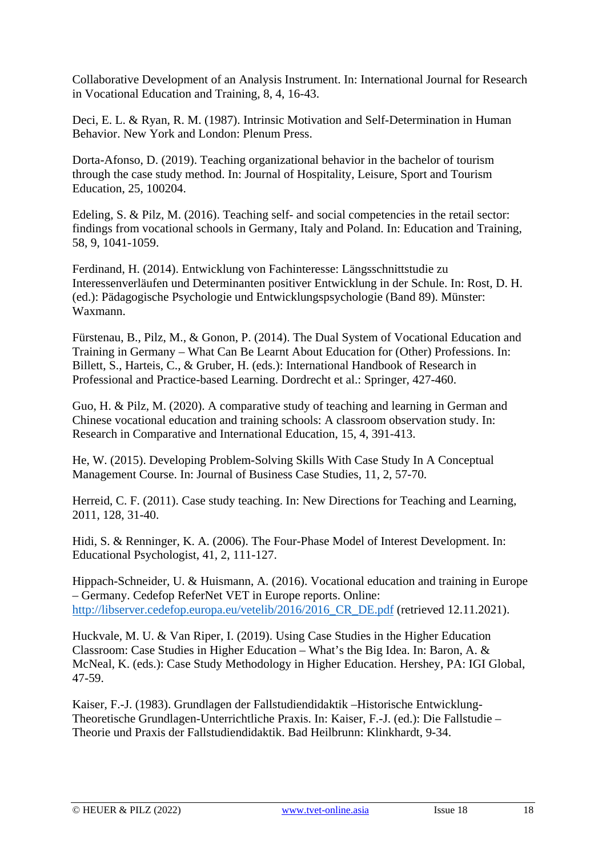Collaborative Development of an Analysis Instrument. In: International Journal for Research in Vocational Education and Training, 8, 4, 16-43.

Deci, E. L. & Ryan, R. M. (1987). Intrinsic Motivation and Self-Determination in Human Behavior. New York and London: Plenum Press.

Dorta-Afonso, D. (2019). Teaching organizational behavior in the bachelor of tourism through the case study method. In: Journal of Hospitality, Leisure, Sport and Tourism Education, 25, 100204.

Edeling, S. & Pilz, M. (2016). Teaching self- and social competencies in the retail sector: findings from vocational schools in Germany, Italy and Poland. In: Education and Training, 58, 9, 1041-1059.

Ferdinand, H. (2014). Entwicklung von Fachinteresse: Längsschnittstudie zu Interessenverläufen und Determinanten positiver Entwicklung in der Schule. In: Rost, D. H. (ed.): Pädagogische Psychologie und Entwicklungspsychologie (Band 89). Münster: Waxmann.

Fürstenau, B., Pilz, M., & Gonon, P. (2014). The Dual System of Vocational Education and Training in Germany – What Can Be Learnt About Education for (Other) Professions. In: Billett, S., Harteis, C., & Gruber, H. (eds.): International Handbook of Research in Professional and Practice-based Learning. Dordrecht et al.: Springer, 427-460.

Guo, H. & Pilz, M. (2020). A comparative study of teaching and learning in German and Chinese vocational education and training schools: A classroom observation study. In: Research in Comparative and International Education, 15, 4, 391-413.

He, W. (2015). Developing Problem-Solving Skills With Case Study In A Conceptual Management Course. In: Journal of Business Case Studies, 11, 2, 57-70.

Herreid, C. F. (2011). Case study teaching. In: New Directions for Teaching and Learning, 2011, 128, 31-40.

Hidi, S. & Renninger, K. A. (2006). The Four-Phase Model of Interest Development. In: Educational Psychologist, 41, 2, 111-127.

Hippach-Schneider, U. & Huismann, A. (2016). Vocational education and training in Europe – Germany. Cedefop ReferNet VET in Europe reports. Online: http://libserver.cedefop.europa.eu/vetelib/2016/2016 CR\_DE.pdf (retrieved 12.11.2021).

Huckvale, M. U. & Van Riper, I. (2019). Using Case Studies in the Higher Education Classroom: Case Studies in Higher Education – What's the Big Idea. In: Baron, A. & McNeal, K. (eds.): Case Study Methodology in Higher Education. Hershey, PA: IGI Global, 47-59.

Kaiser, F.-J. (1983). Grundlagen der Fallstudiendidaktik –Historische Entwicklung-Theoretische Grundlagen-Unterrichtliche Praxis. In: Kaiser, F.-J. (ed.): Die Fallstudie – Theorie und Praxis der Fallstudiendidaktik. Bad Heilbrunn: Klinkhardt, 9-34.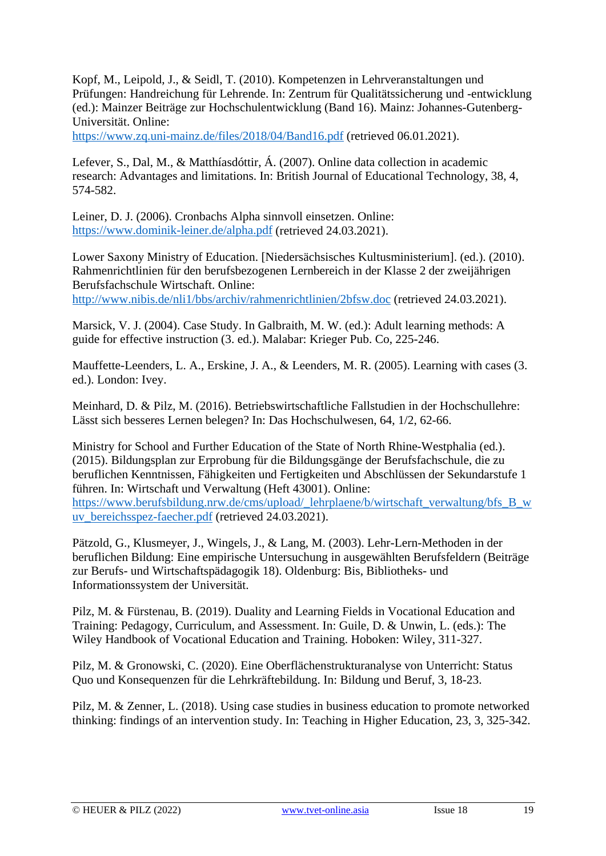Kopf, M., Leipold, J., & Seidl, T. (2010). Kompetenzen in Lehrveranstaltungen und Prüfungen: Handreichung für Lehrende. In: Zentrum für Qualitätssicherung und -entwicklung (ed.): Mainzer Beiträge zur Hochschulentwicklung (Band 16). Mainz: Johannes-Gutenberg-Universität. Online:

<https://www.zq.uni-mainz.de/files/2018/04/Band16.pdf> (retrieved 06.01.2021).

Lefever, S., Dal, M., & Matthíasdóttir, Á. (2007). Online data collection in academic research: Advantages and limitations. In: British Journal of Educational Technology, 38, 4, 574-582.

Leiner, D. J. (2006). Cronbachs Alpha sinnvoll einsetzen. Online: <https://www.dominik-leiner.de/alpha.pdf> (retrieved 24.03.2021).

Lower Saxony Ministry of Education. [Niedersächsisches Kultusministerium]. (ed.). (2010). Rahmenrichtlinien für den berufsbezogenen Lernbereich in der Klasse 2 der zweijährigen Berufsfachschule Wirtschaft. Online: <http://www.nibis.de/nli1/bbs/archiv/rahmenrichtlinien/2bfsw.doc> (retrieved 24.03.2021).

Marsick, V. J. (2004). Case Study. In Galbraith, M. W. (ed.): Adult learning methods: A guide for effective instruction (3. ed.). Malabar: Krieger Pub. Co, 225-246.

Mauffette-Leenders, L. A., Erskine, J. A., & Leenders, M. R. (2005). Learning with cases (3. ed.). London: Ivey.

Meinhard, D. & Pilz, M. (2016). Betriebswirtschaftliche Fallstudien in der Hochschullehre: Lässt sich besseres Lernen belegen? In: Das Hochschulwesen, 64, 1/2, 62-66.

Ministry for School and Further Education of the State of North Rhine-Westphalia (ed.). (2015). Bildungsplan zur Erprobung für die Bildungsgänge der Berufsfachschule, die zu beruflichen Kenntnissen, Fähigkeiten und Fertigkeiten und Abschlüssen der Sekundarstufe 1 führen. In: Wirtschaft und Verwaltung (Heft 43001). Online: [https://www.berufsbildung.nrw.de/cms/upload/\\_lehrplaene/b/wirtschaft\\_verwaltung/bfs\\_B\\_w](https://www.berufsbildung.nrw.de/cms/upload/_lehrplaene/b/wirtschaft_verwaltung/bfs_B_wuv_bereichsspez-faecher.pdf) [uv\\_bereichsspez-faecher.pdf](https://www.berufsbildung.nrw.de/cms/upload/_lehrplaene/b/wirtschaft_verwaltung/bfs_B_wuv_bereichsspez-faecher.pdf) (retrieved 24.03.2021).

Pätzold, G., Klusmeyer, J., Wingels, J., & Lang, M. (2003). Lehr-Lern-Methoden in der beruflichen Bildung: Eine empirische Untersuchung in ausgewählten Berufsfeldern (Beiträge zur Berufs- und Wirtschaftspädagogik 18). Oldenburg: Bis, Bibliotheks- und Informationssystem der Universität.

Pilz, M. & Fürstenau, B. (2019). Duality and Learning Fields in Vocational Education and Training: Pedagogy, Curriculum, and Assessment. In: Guile, D. & Unwin, L. (eds.): The Wiley Handbook of Vocational Education and Training. Hoboken: Wiley, 311-327.

Pilz, M. & Gronowski, C. (2020). Eine Oberflächenstrukturanalyse von Unterricht: Status Quo und Konsequenzen für die Lehrkräftebildung. In: Bildung und Beruf, 3, 18-23.

Pilz, M. & Zenner, L. (2018). Using case studies in business education to promote networked thinking: findings of an intervention study. In: Teaching in Higher Education, 23, 3, 325-342.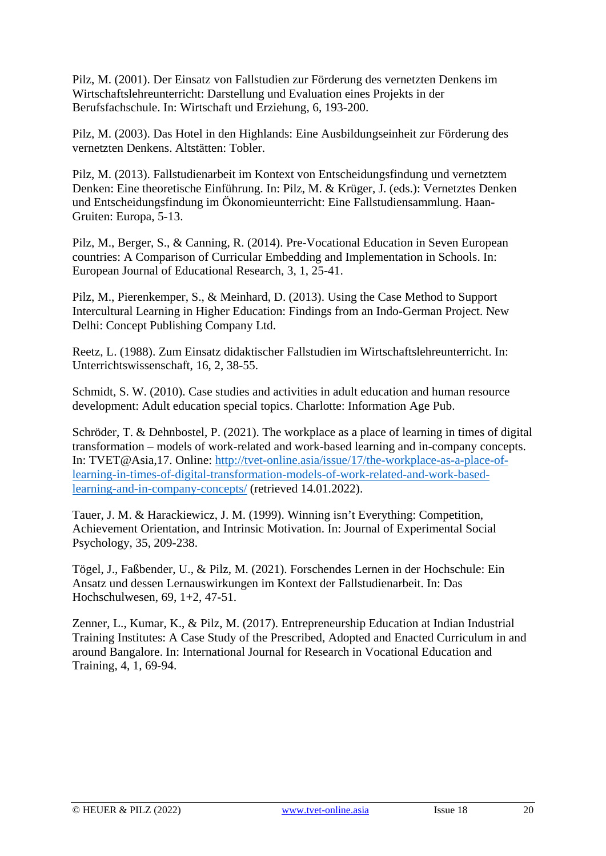Pilz, M. (2001). Der Einsatz von Fallstudien zur Förderung des vernetzten Denkens im Wirtschaftslehreunterricht: Darstellung und Evaluation eines Projekts in der Berufsfachschule. In: Wirtschaft und Erziehung, 6, 193-200.

Pilz, M. (2003). Das Hotel in den Highlands: Eine Ausbildungseinheit zur Förderung des vernetzten Denkens. Altstätten: Tobler.

Pilz, M. (2013). Fallstudienarbeit im Kontext von Entscheidungsfindung und vernetztem Denken: Eine theoretische Einführung. In: Pilz, M. & Krüger, J. (eds.): Vernetztes Denken und Entscheidungsfindung im Ökonomieunterricht: Eine Fallstudiensammlung. Haan-Gruiten: Europa, 5-13.

Pilz, M., Berger, S., & Canning, R. (2014). Pre-Vocational Education in Seven European countries: A Comparison of Curricular Embedding and Implementation in Schools. In: European Journal of Educational Research, 3, 1, 25-41.

Pilz, M., Pierenkemper, S., & Meinhard, D. (2013). Using the Case Method to Support Intercultural Learning in Higher Education: Findings from an Indo-German Project. New Delhi: Concept Publishing Company Ltd.

Reetz, L. (1988). Zum Einsatz didaktischer Fallstudien im Wirtschaftslehreunterricht. In: Unterrichtswissenschaft, 16, 2, 38-55.

Schmidt, S. W. (2010). Case studies and activities in adult education and human resource development: Adult education special topics. Charlotte: Information Age Pub.

Schröder, T. & Dehnbostel, P. (2021). The workplace as a place of learning in times of digital transformation – models of work-related and work-based learning and in-company concepts. In: TVET@Asia,17. Online: [http://tvet-online.asia/issue/17/the-workplace-as-a-place-of](http://tvet-online.asia/issue/17/the-workplace-as-a-place-of-learning-in-times-of-digital-transformation-models-of-work-related-and-work-based-learning-and-in-company-concepts/)[learning-in-times-of-digital-transformation-models-of-work-related-and-work-based](http://tvet-online.asia/issue/17/the-workplace-as-a-place-of-learning-in-times-of-digital-transformation-models-of-work-related-and-work-based-learning-and-in-company-concepts/)[learning-and-in-company-concepts/](http://tvet-online.asia/issue/17/the-workplace-as-a-place-of-learning-in-times-of-digital-transformation-models-of-work-related-and-work-based-learning-and-in-company-concepts/) (retrieved 14.01.2022).

Tauer, J. M. & Harackiewicz, J. M. (1999). Winning isn't Everything: Competition, Achievement Orientation, and Intrinsic Motivation. In: Journal of Experimental Social Psychology, 35, 209-238.

Tögel, J., Faßbender, U., & Pilz, M. (2021). Forschendes Lernen in der Hochschule: Ein Ansatz und dessen Lernauswirkungen im Kontext der Fallstudienarbeit. In: Das Hochschulwesen, 69, 1+2, 47-51.

Zenner, L., Kumar, K., & Pilz, M. (2017). Entrepreneurship Education at Indian Industrial Training Institutes: A Case Study of the Prescribed, Adopted and Enacted Curriculum in and around Bangalore. In: International Journal for Research in Vocational Education and Training, 4, 1, 69-94.